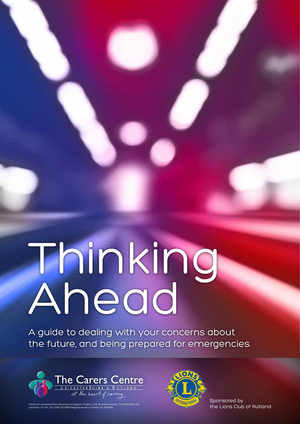# Thinking Ahead

A guide to dealing with your concerns about the future, and being prepared for emergencies.



Carers of Leicestershire Advocacy & Support Project. Unit 19, Matrix House, 7 Constitution Hill,<br>Leicester LE1 1PL Tel: (0116) 251 0999 Registered as a Charity no. 1043956



Sponsored by the Lions Club of Rutland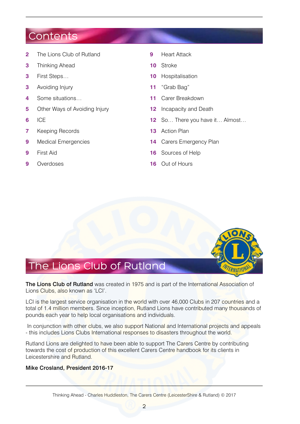#### **Contents**

- **2** The Lions Club of Rutland
- **3** Thinking Ahead
- **3** First Steps…
- **3** Avoiding Injury
- **4** Some situations…
- **5** Other Ways of Avoiding Injury
- **6** ICE
- **7** Keeping Records
- **9** Medical Emergencies
- **9** First Aid
- **9** Overdoses
- **9** Heart Attack
- **10** Stroke
- **10** Hospitalisation
- **11** "Grab Bag"
- **11** Carer Breakdown
- **12** Incapacity and Death
- **12** So… There you have it… Almost…
- **13** Action Plan
- **14** Carers Emergency Plan
- **16** Sources of Help
- **16** Out of Hours



The Lions Club of Rutland was created in 1975 and is part of the International Association of Lions Clubs, also known as 'LCI'.

LCI is the largest service organisation in the world with over 46,000 Clubs in 207 countries and a total of 1.4 million members. Since inception, Rutland Lions have contributed many thousands of pounds each year to help local organisations and individuals.

 In conjunction with other clubs, we also support National and International projects and appeals - this includes Lions Clubs International responses to disasters throughout the world.

Rutland Lions are delighted to have been able to support The Carers Centre by contributing towards the cost of production of this excellent Carers Centre handbook for its clients in Leicestershire and Rutland.

#### Mike Crosland, President 2016-17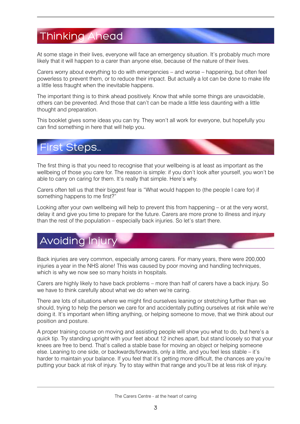## Thinking Ahead

At some stage in their lives, everyone will face an emergency situation. It's probably much more likely that it will happen to a carer than anyone else, because of the nature of their lives.

Carers worry about everything to do with emergencies – and worse – happening, but often feel powerless to prevent them, or to reduce their impact. But actually a lot can be done to make life a little less fraught when the inevitable happens.

The important thing is to think ahead positively. Know that while some things are unavoidable, others can be prevented. And those that can't can be made a little less daunting with a little thought and preparation.

This booklet gives some ideas you can try. They won't all work for everyone, but hopefully you can find something in here that will help you.

### First Steps…

The first thing is that you need to recognise that your wellbeing is at least as important as the wellbeing of those you care for. The reason is simple: if you don't look after yourself, you won't be able to carry on caring for them. It's really that simple. Here's why.

Carers often tell us that their biggest fear is "What would happen to (the people I care for) if something happens to me first?"

Looking after your own wellbeing will help to prevent this from happening – or at the very worst, delay it and give you time to prepare for the future. Carers are more prone to illness and injury than the rest of the population – especially back injuries. So let's start there.

## Avoiding Injur

Back injuries are very common, especially among carers. For many years, there were 200,000 injuries a year in the NHS alone! This was caused by poor moving and handling techniques, which is why we now see so many hoists in hospitals.

Carers are highly likely to have back problems – more than half of carers have a back injury. So we have to think carefully about what we do when we're caring.

There are lots of situations where we might find ourselves leaning or stretching further than we should, trying to help the person we care for and accidentally putting ourselves at risk while we're doing it. It's important when lifting anything, or helping someone to move, that we think about our position and posture.

A proper training course on moving and assisting people will show you what to do, but here's a quick tip. Try standing upright with your feet about 12 inches apart, but stand loosely so that your knees are free to bend. That's called a stable base for moving an object or helping someone else. Leaning to one side, or backwards/forwards, only a little, and you feel less stable – it's harder to maintain your balance. If you feel that it's getting more difficult, the chances are you're putting your back at risk of injury. Try to stay within that range and you'll be at less risk of injury.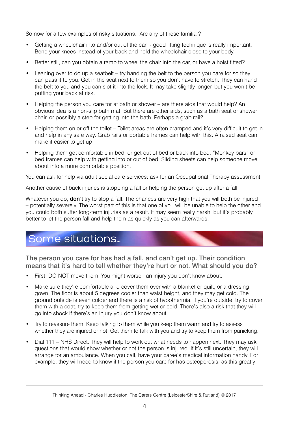So now for a few examples of risky situations. Are any of these familiar?

- Getting a wheelchair into and/or out of the car good lifting technique is really important. Bend your knees instead of your back and hold the wheelchair close to your body.
- Better still, can you obtain a ramp to wheel the chair into the car, or have a hoist fitted?
- Leaning over to do up a seatbelt try handing the belt to the person you care for so they can pass it to you. Get in the seat next to them so you don't have to stretch. They can hand the belt to you and you can slot it into the lock. It may take slightly longer, but you won't be putting your back at risk.
- Helping the person you care for at bath or shower are there aids that would help? An obvious idea is a non-slip bath mat. But there are other aids, such as a bath seat or shower chair, or possibly a step for getting into the bath. Perhaps a grab rail?
- Helping them on or off the toilet Toilet areas are often cramped and it's very difficult to get in and help in any safe way. Grab rails or portable frames can help with this. A raised seat can make it easier to get up.
- Helping them get comfortable in bed, or get out of bed or back into bed. "Monkey bars" or bed frames can help with getting into or out of bed. Sliding sheets can help someone move about into a more comfortable position.

You can ask for help via adult social care services: ask for an Occupational Therapy assessment.

Another cause of back injuries is stopping a fall or helping the person get up after a fall.

Whatever you do, **don't** try to stop a fall. The chances are very high that you will both be injured – potentially severely. The worst part of this is that one of you will be unable to help the other and you could both suffer long-term injuries as a result. It may seem really harsh, but it's probably better to let the person fall and help them as quickly as you can afterwards.

## Some situations…

The person you care for has had a fall, and can't get up. Their condition means that it's hard to tell whether they're hurt or not. What should you do?

- First: DO NOT move them. You might worsen an injury you don't know about.
- Make sure they're comfortable and cover them over with a blanket or quilt, or a dressing gown. The floor is about 5 degrees cooler than waist height, and they may get cold. The ground outside is even colder and there is a risk of hypothermia. If you're outside, try to cover them with a coat, try to keep them from getting wet or cold. There's also a risk that they will go into shock if there's an injury you don't know about.
- Try to reassure them. Keep talking to them while you keep them warm and try to assess whether they are injured or not. Get them to talk with you and try to keep them from panicking.
- Dial 111 NHS Direct. They will help to work out what needs to happen next. They may ask questions that would show whether or not the person is injured. If it's still uncertain, they will arrange for an ambulance. When you call, have your caree's medical information handy. For example, they will need to know if the person you care for has osteoporosis, as this greatly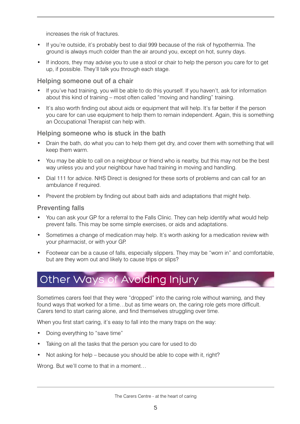increases the risk of fractures.

- If you're outside, it's probably best to dial 999 because of the risk of hypothermia. The ground is always much colder than the air around you, except on hot, sunny days.
- If indoors, they may advise you to use a stool or chair to help the person you care for to get up, if possible. They'll talk you through each stage.

#### Helping someone out of a chair

- If you've had training, you will be able to do this yourself. If you haven't, ask for information about this kind of training – most often called "moving and handling" training.
- It's also worth finding out about aids or equipment that will help. It's far better if the person you care for can use equipment to help them to remain independent. Again, this is something an Occupational Therapist can help with.

#### Helping someone who is stuck in the bath

- Drain the bath, do what you can to help them get dry, and cover them with something that will keep them warm.
- You may be able to call on a neighbour or friend who is nearby, but this may not be the best way unless you and your neighbour have had training in moving and handling.
- Dial 111 for advice. NHS Direct is designed for these sorts of problems and can call for an ambulance if required.
- Prevent the problem by finding out about bath aids and adaptations that might help.

#### Preventing falls

- You can ask your GP for a referral to the Falls Clinic. They can help identify what would help prevent falls. This may be some simple exercises, or aids and adaptations.
- Sometimes a change of medication may help. It's worth asking for a medication review with your pharmacist, or with your GP.
- Footwear can be a cause of falls, especially slippers. They may be "worn in" and comfortable, but are they worn out and likely to cause trips or slips?

## Other Ways of Avoiding Injury

Sometimes carers feel that they were "dropped" into the caring role without warning, and they found ways that worked for a time…but as time wears on, the caring role gets more difficult. Carers tend to start caring alone, and find themselves struggling over time.

When you first start caring, it's easy to fall into the many traps on the way:

- Doing everything to "save time"
- Taking on all the tasks that the person you care for used to do
- Not asking for help because you should be able to cope with it, right?

Wrong. But we'll come to that in a moment…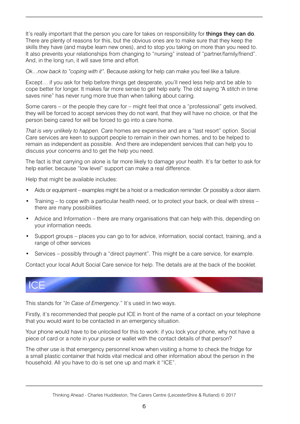It's really important that the person you care for takes on responsibility for **things they can do**. There are plenty of reasons for this, but the obvious ones are to make sure that they keep the skills they have (and maybe learn new ones), and to stop you taking on more than you need to. It also prevents your relationships from changing to "nursing" instead of "partner/family/friend". And, in the long run, it will save time and effort.

*Ok…now back to "coping with it".* Because asking for help can make you feel like a failure.

Except… if you ask for help before things get desperate, you'll need less help and be able to cope better for longer. It makes far more sense to get help early. The old saying "A stitch in time saves nine" has never rung more true than when talking about caring.

Some carers – or the people they care for – might feel that once a "professional" gets involved, they will be forced to accept services they do not want, that they will have no choice, or that the person being cared for will be forced to go into a care home.

*That is very unlikely to happen.* Care homes are expensive and are a "last resort" option. Social Care services are keen to support people to remain in their own homes, and to be helped to remain as independent as possible. And there are independent services that can help you to discuss your concerns and to get the help you need.

The fact is that carrying on alone is far more likely to damage your health. It's far better to ask for help earlier, because "low level" support can make a real difference.

Help that might be available includes:

- Aids or equipment examples might be a hoist or a medication reminder. Or possibly a door alarm.
- Training to cope with a particular health need, or to protect your back, or deal with stress there are many possibilities
- Advice and Information there are many organisations that can help with this, depending on your information needs.
- Support groups places you can go to for advice, information, social contact, training, and a range of other services
- Services possibly through a "direct payment". This might be a care service, for example.

Contact your local Adult Social Care service for help. The details are at the back of the booklet.



This stands for "*In Case of Emergency*." It's used in two ways.

Firstly, it's recommended that people put ICE in front of the name of a contact on your telephone that you would want to be contacted in an emergency situation.

Your phone would have to be unlocked for this to work: if you lock your phone, why not have a piece of card or a note in your purse or wallet with the contact details of that person?

The other use is that emergency personnel know when visiting a home to check the fridge for a small plastic container that holds vital medical and other information about the person in the household. All you have to do is set one up and mark it "ICE".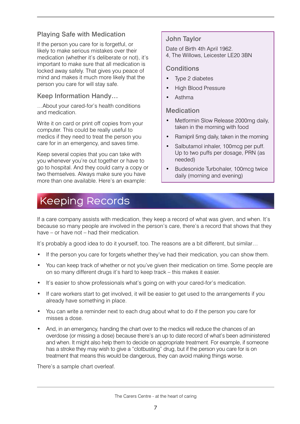#### Playing Safe with Medication

If the person you care for is forgetful, or likely to make serious mistakes over their medication (whether it's deliberate or not), it's important to make sure that all medication is locked away safely. That gives you peace of mind and makes it much more likely that the person you care for will stay safe.

#### Keep Information Handy…

…About your cared-for's health conditions and medication.

Write it on card or print off copies from your computer. This could be really useful to medics if they need to treat the person you care for in an emergency, and saves time.

Keep several copies that you can take with you whenever you're out together or have to go to hospital. And they could carry a copy or two themselves. Always make sure you have more than one available. Here's an example:

## Keeping Records

#### John Taylor

Date of Birth 4th April 1962. 4, The Willows, Leicester LE20 3BN

#### **Conditions**

- Type 2 diabetes
- High Blood Pressure
- Asthma

#### Medication

- Metformin Slow Release 2000mg daily, taken in the morning with food
- Ramipril 5mg daily, taken in the morning
- Salbutamol inhaler, 100mcg per puff. Up to two puffs per dosage, PRN (as needed)
- Budesonide Turbohaler, 100mcg twice daily (morning and evening)

If a care company assists with medication, they keep a record of what was given, and when. It's because so many people are involved in the person's care, there's a record that shows that they have – or have not – had their medication.

It's probably a good idea to do it yourself, too. The reasons are a bit different, but similar...

- If the person you care for forgets whether they've had their medication, you can show them.
- You can keep track of whether or not you've given their medication on time. Some people are on so many different drugs it's hard to keep track – this makes it easier.
- It's easier to show professionals what's going on with your cared-for's medication.
- If care workers start to get involved, it will be easier to get used to the arrangements if you already have something in place.
- You can write a reminder next to each drug about what to do if the person you care for misses a dose.
- And, in an emergency, handing the chart over to the medics will reduce the chances of an overdose (or missing a dose) because there's an up to date record of what's been administered and when. It might also help them to decide on appropriate treatment. For example, if someone has a stroke they may wish to give a "clotbusting" drug, but if the person you care for is on treatment that means this would be dangerous, they can avoid making things worse.

There's a sample chart overleaf.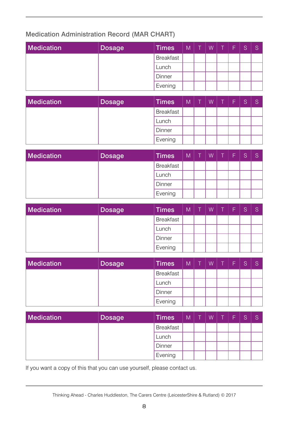#### Medication Administration Record (MAR CHART)

| <b>Medication</b> | <b>Dosage</b> | <b>Times</b>     | $M$   T |  | WTF | S | S |
|-------------------|---------------|------------------|---------|--|-----|---|---|
|                   |               | <b>Breakfast</b> |         |  |     |   |   |
|                   |               | Lunch            |         |  |     |   |   |
|                   |               | Dinner           |         |  |     |   |   |
|                   |               | Evening          |         |  |     |   |   |

| Medication | <b>Dosage</b> | <b>Times</b>     | $M \mid$ |  | $W$ $T$ | l F. | S |  |
|------------|---------------|------------------|----------|--|---------|------|---|--|
|            |               | <b>Breakfast</b> |          |  |         |      |   |  |
|            |               | Lunch            |          |  |         |      |   |  |
|            |               | Dinner           |          |  |         |      |   |  |
|            |               | Evening          |          |  |         |      |   |  |

| <b>Medication</b> | <b>Dosage</b> | <b>Times</b>     | $M \mid$ |  | $W$ $T$ | ÆF7 |  |
|-------------------|---------------|------------------|----------|--|---------|-----|--|
|                   |               | <b>Breakfast</b> |          |  |         |     |  |
|                   |               | Lunch            |          |  |         |     |  |
|                   |               | Dinner           |          |  |         |     |  |
|                   |               | Evening          |          |  |         |     |  |

| Medication | <b>Dosage</b> | <b>Times</b>     | $M$ $T$ |  | WTF | S. |  |
|------------|---------------|------------------|---------|--|-----|----|--|
|            |               | <b>Breakfast</b> |         |  |     |    |  |
|            |               | Lunch            |         |  |     |    |  |
|            |               | Dinner           |         |  |     |    |  |
|            |               | Evening          |         |  |     |    |  |

| <b>Medication</b> | <b>Dosage</b> | <b>Times</b>     | $M \mid$ |  | $W$ $T$ | l F. | S |  |
|-------------------|---------------|------------------|----------|--|---------|------|---|--|
|                   |               | <b>Breakfast</b> |          |  |         |      |   |  |
|                   |               | Lunch            |          |  |         |      |   |  |
|                   |               | Dinner           |          |  |         |      |   |  |
|                   |               | Evening          |          |  |         |      |   |  |

| Medication | <b>Dosage</b> | <b>Times</b>     | $M$   T | $W$ $T$ $F$ | <sub>S</sub> |  |
|------------|---------------|------------------|---------|-------------|--------------|--|
|            |               | <b>Breakfast</b> |         |             |              |  |
|            |               | Lunch            |         |             |              |  |
|            |               | Dinner           |         |             |              |  |
|            |               | Evening          |         |             |              |  |

If you want a copy of this that you can use yourself, please contact us.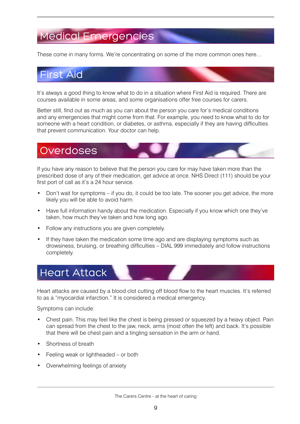## Medical Emergencies

These come in many forms. We're concentrating on some of the more common ones here…

## First Aid

It's always a good thing to know what to do in a situation where First Aid is required. There are courses available in some areas, and some organisations offer free courses for carers.

Better still, find out as much as you can about the person you care for's medical conditions and any emergencies that might come from that. For example, you need to know what to do for someone with a heart condition, or diabetes, or asthma, especially if they are having difficulties that prevent communication. Your doctor can help.

### **Overdoses**

If you have any reason to believe that the person you care for may have taken more than the prescribed dose of any of their medication, get advice at once. NHS Direct (111) should be your first port of call as it's a 24 hour service.

- Don't wait for symptoms if you do, it could be too late. The sooner you get advice, the more likely you will be able to avoid harm.
- Have full information handy about the medication. Especially if you know which one they've taken, how much they've taken and how long ago.
- Follow any instructions you are given completely.
- If they have taken the medication some time ago and are displaying symptoms such as drowsiness, bruising, or breathing difficulties – DIAL 999 immediately and follow instructions completely.

# Heart Attack

Heart attacks are caused by a blood clot cutting off blood flow to the heart muscles. It's referred to as a "myocardial infarction." It is considered a medical emergency.

Symptoms can include:

- Chest pain. This may feel like the chest is being pressed or squeezed by a heavy object. Pain can spread from the chest to the jaw, neck, arms (most often the left) and back. It's possible that there will be chest pain and a tingling sensation in the arm or hand.
- Shortness of breath
- Feeling weak or lightheaded or both
- Overwhelming feelings of anxiety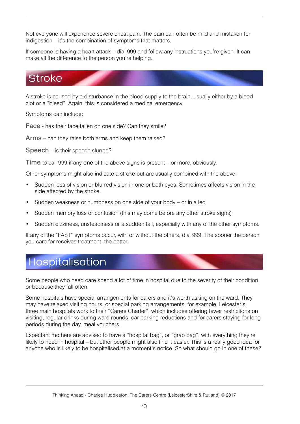Not everyone will experience severe chest pain. The pain can often be mild and mistaken for indigestion – it's the combination of symptoms that matters.

If someone is having a heart attack – dial 999 and follow any instructions you're given. It can make all the difference to the person you're helping.

## **Stroke**

A stroke is caused by a disturbance in the blood supply to the brain, usually either by a blood clot or a "bleed". Again, this is considered a medical emergency.

Symptoms can include:

Face - has their face fallen on one side? Can they smile?

Arms – can they raise both arms and keep them raised?

Speech – is their speech slurred?

Time to call 999 if any one of the above signs is present – or more, obviously.

Other symptoms might also indicate a stroke but are usually combined with the above:

- Sudden loss of vision or blurred vision in one or both eyes. Sometimes affects vision in the side affected by the stroke.
- Sudden weakness or numbness on one side of your body or in a leg
- Sudden memory loss or confusion (this may come before any other stroke signs)
- Sudden dizziness, unsteadiness or a sudden fall, especially with any of the other symptoms.

If any of the "FAST" symptoms occur, with or without the others, dial 999. The sooner the person you care for receives treatment, the better.

#### Hospitalisation

Some people who need care spend a lot of time in hospital due to the severity of their condition, or because they fall often.

Some hospitals have special arrangements for carers and it's worth asking on the ward. They may have relaxed visiting hours, or special parking arrangements, for example. Leicester's three main hospitals work to their "Carers Charter", which includes offering fewer restrictions on visiting, regular drinks during ward rounds, car parking reductions and for carers staying for long periods during the day, meal vouchers.

Expectant mothers are advised to have a "hospital bag", or "grab bag", with everything they're likely to need in hospital – but other people might also find it easier. This is a really good idea for anyone who is likely to be hospitalised at a moment's notice. So what should go in one of these?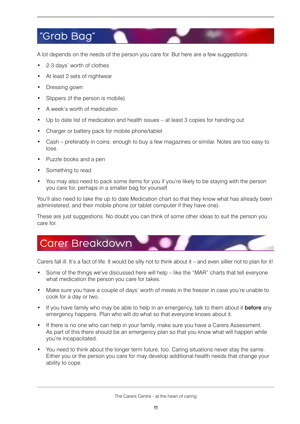## "Grab Bag"

A lot depends on the needs of the person you care for. But here are a few suggestions:

- 2-3 days' worth of clothes
- At least 2 sets of nightwear
- Dressing gown
- Slippers (if the person is mobile)
- A week's worth of medication
- Up to date list of medication and health issues at least 3 copies for handing out
- Charger or battery pack for mobile phone/tablet
- Cash preferably in coins: enough to buy a few magazines or similar. Notes are too easy to lose.
- Puzzle books and a pen
- Something to read
- You may also need to pack some items for you if you're likely to be staying with the person you care for, perhaps in a smaller bag for yourself.

You'll also need to take the up to date Medication chart so that they know what has already been administered, and their mobile phone (or tablet computer if they have one).

These are just suggestions. No doubt you can think of some other ideas to suit the person you care for.

#### Carer Breakdown

Carers fall ill. It's a fact of life. It would be silly not to think about it – and even sillier not to plan for it!

- Some of the things we've discussed here will help like the "MAR" charts that tell everyone what medication the person you care for takes.
- Make sure you have a couple of days' worth of meals in the freezer in case you're unable to cook for a day or two.
- If you have family who may be able to help in an emergency, talk to them about it **before** any emergency happens. Plan who will do what so that everyone knows about it.
- If there is no one who can help in your family, make sure you have a Carers Assessment. As part of this there should be an emergency plan so that you know what will happen while you're incapacitated.
- You need to think about the longer term future, too. Caring situations never stay the same. Either you or the person you care for may develop additional health needs that change your ability to cope.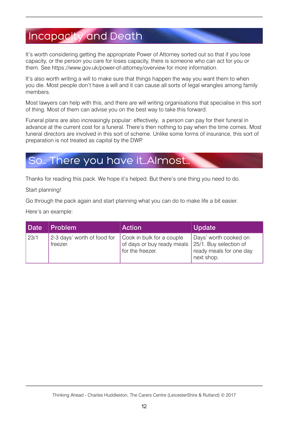## Incapacity and Death

It's worth considering getting the appropriate Power of Attorney sorted out so that if you lose capacity, or the person you care for loses capacity, there is someone who can act for you or them. See https://www.gov.uk/power-of-attorney/overview for more information.

It's also worth writing a will to make sure that things happen the way you want them to when you die. Most people don't have a will and it can cause all sorts of legal wrangles among family members.

Most lawyers can help with this, and there are will writing organisations that specialise in this sort of thing. Most of them can advise you on the best way to take this forward.

Funeral plans are also increasingly popular: effectively, a person can pay for their funeral in advance at the current cost for a funeral. There's then nothing to pay when the time comes. Most funeral directors are involved in this sort of scheme. Unlike some forms of insurance, this sort of preparation is not treated as capital by the DWP.

### So… There you have it…Almost…

Thanks for reading this pack. We hope it's helped. But there's one thing you need to do.

Start planning!

Go through the pack again and start planning what you can do to make life a bit easier.

Here's an example:

| Date | <b>Problem</b>                          | <b>Action</b>                                                                                      | <b>Update</b>                                                  |
|------|-----------------------------------------|----------------------------------------------------------------------------------------------------|----------------------------------------------------------------|
| 23/1 | 2-3 days' worth of food for<br>freezer. | Cook in bulk for a couple<br>of days or buy ready meals 25/1. Buy selection of<br>for the freezer. | Days' worth cooked on<br>ready meals for one day<br>next shop. |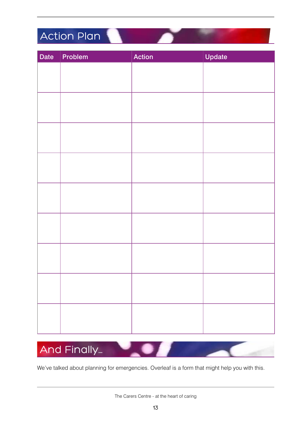## Action Plan

| Date | Problem | Action | Update |
|------|---------|--------|--------|
|      |         |        |        |
|      |         |        |        |
|      |         |        |        |
|      |         |        |        |
|      |         |        |        |
|      |         |        |        |
|      |         |        |        |
|      |         |        |        |
|      |         |        |        |
|      |         |        |        |
|      |         |        |        |
|      |         |        |        |
|      |         |        |        |
|      |         |        |        |
|      |         |        |        |
|      |         |        |        |
|      |         |        |        |
|      |         |        |        |
|      |         |        |        |
|      |         |        |        |
|      |         |        |        |
|      |         |        |        |
|      |         |        |        |



We've talked about planning for emergencies. Overleaf is a form that might help you with this.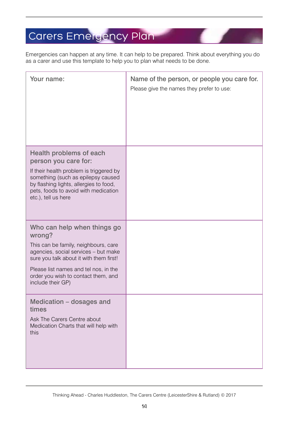## Carers Emergency Plan

Emergencies can happen at any time. It can help to be prepared. Think about everything you do as a carer and use this template to help you to plan what needs to be done.

| Your name:                                                                                                                                                                                                                                                            | Name of the person, or people you care for.<br>Please give the names they prefer to use: |
|-----------------------------------------------------------------------------------------------------------------------------------------------------------------------------------------------------------------------------------------------------------------------|------------------------------------------------------------------------------------------|
| Health problems of each<br>person you care for:<br>If their health problem is triggered by<br>something (such as epilepsy caused<br>by flashing lights, allergies to food,<br>pets, foods to avoid with medication<br>etc.), tell us here                             |                                                                                          |
| Who can help when things go<br>wrong?<br>This can be family, neighbours, care<br>agencies, social services - but make<br>sure you talk about it with them first!<br>Please list names and tel nos, in the<br>order you wish to contact them, and<br>include their GP) |                                                                                          |
| Medication - dosages and<br>times<br>Ask The Carers Centre about<br>Medication Charts that will help with<br>this                                                                                                                                                     |                                                                                          |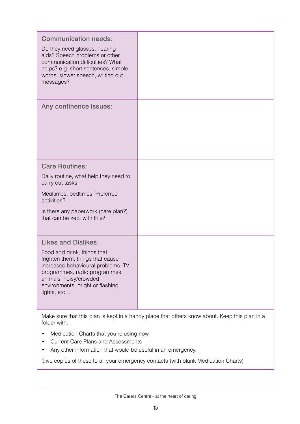| <b>Communication needs:</b><br>Do they need glasses, hearing<br>aids? Speech problems or other<br>communication difficulties? What<br>helps? e.g. short sentences, simple<br>words, slower speech, writing out<br>messages?                       |  |  |  |  |
|---------------------------------------------------------------------------------------------------------------------------------------------------------------------------------------------------------------------------------------------------|--|--|--|--|
| Any continence issues:                                                                                                                                                                                                                            |  |  |  |  |
| <b>Care Routines:</b><br>Daily routine, what help they need to<br>carry out tasks.<br>Mealtimes, bedtimes. Preferred<br>activities?<br>Is there any paperwork (care plan?)<br>that can be kept with this?                                         |  |  |  |  |
| <b>Likes and Dislikes:</b><br>Food and drink, things that<br>frighten them, things that cause<br>increased behavioural problems, TV<br>programmes, radio programmes,<br>animals, noisy/crowded<br>environments, bright or flashing<br>lights, etc |  |  |  |  |
| Make sure that this plan is kept in a handy place that others know about. Keep this plan in a<br>folder with:                                                                                                                                     |  |  |  |  |

- Medication Charts that you're using now
- Current Care Plans and Assessments
- Any other information that would be useful in an emergency.

Give copies of these to all your emergency contacts (with blank Medication Charts)